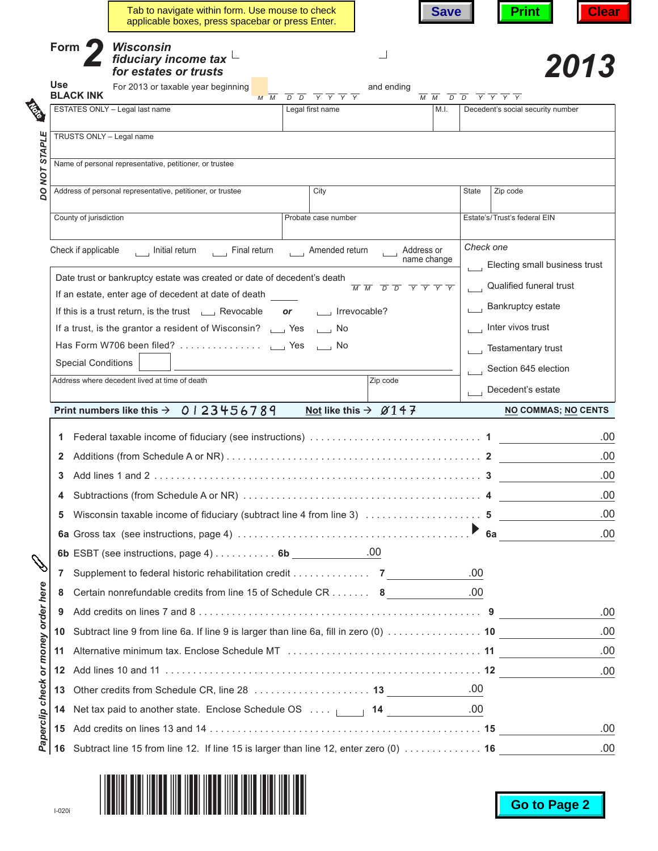|                                     |            |                                                         | Tab to navigate within form. Use mouse to check<br>applicable boxes, press spacebar or press Enter. |                                                                                           |                                                                                                                         | <b>Save</b>                                                                                                             | <b>Clear</b><br><b>Print</b>      |  |  |
|-------------------------------------|------------|---------------------------------------------------------|-----------------------------------------------------------------------------------------------------|-------------------------------------------------------------------------------------------|-------------------------------------------------------------------------------------------------------------------------|-------------------------------------------------------------------------------------------------------------------------|-----------------------------------|--|--|
|                                     | Form       |                                                         | <b>Wisconsin</b><br>fiduciary income tax $\mathfrak{t}$<br>for estates or trusts                    |                                                                                           |                                                                                                                         |                                                                                                                         | 2013                              |  |  |
|                                     | <b>Use</b> | <b>BLACK INK</b>                                        | For 2013 or taxable year beginning<br>$M \overline{M}$                                              | $\overline{D}$ $\overline{D}$ $\overline{Y}$ $\overline{Y}$ $\overline{Y}$ $\overline{Y}$ | and ending                                                                                                              | $\overline{M}$ $\overline{M}$ $\overline{D}$ $\overline{D}$ $\overline{Y}$ $\overline{Y}$ $\overline{Y}$ $\overline{Y}$ |                                   |  |  |
|                                     |            |                                                         | ESTATES ONLY - Legal last name                                                                      | Legal first name                                                                          |                                                                                                                         | M.I.                                                                                                                    | Decedent's social security number |  |  |
| DO NOT STAPLE                       |            |                                                         | TRUSTS ONLY - Legal name                                                                            |                                                                                           |                                                                                                                         |                                                                                                                         |                                   |  |  |
|                                     |            |                                                         |                                                                                                     |                                                                                           |                                                                                                                         |                                                                                                                         |                                   |  |  |
|                                     |            | Name of personal representative, petitioner, or trustee |                                                                                                     |                                                                                           |                                                                                                                         |                                                                                                                         |                                   |  |  |
|                                     |            |                                                         | Address of personal representative, petitioner, or trustee                                          | City                                                                                      |                                                                                                                         | State                                                                                                                   | Zip code                          |  |  |
|                                     |            | County of jurisdiction                                  |                                                                                                     | Probate case number                                                                       |                                                                                                                         |                                                                                                                         | Estate's/Trust's federal EIN      |  |  |
|                                     |            |                                                         |                                                                                                     |                                                                                           |                                                                                                                         |                                                                                                                         |                                   |  |  |
|                                     |            | Check if applicable                                     | hitial return [1] Final return [1] Amended return                                                   |                                                                                           | $\overline{\phantom{a}}$ Address or<br>name change                                                                      | Check one                                                                                                               |                                   |  |  |
|                                     |            |                                                         | Date trust or bankruptcy estate was created or date of decedent's death                             |                                                                                           |                                                                                                                         |                                                                                                                         | Electing small business trust     |  |  |
|                                     |            |                                                         | If an estate, enter age of decedent at date of death                                                |                                                                                           | $\overline{M}$ $\overline{M}$ $\overline{D}$ $\overline{D}$ $\overline{Y}$ $\overline{Y}$ $\overline{Y}$ $\overline{Y}$ | $\mathbf{L} = \mathbf{L}$                                                                                               | Qualified funeral trust           |  |  |
|                                     |            |                                                         | If this is a trust return, is the trust $\Box$ Revocable                                            | or _____ Irrevocable?                                                                     |                                                                                                                         |                                                                                                                         | Bankruptcy estate                 |  |  |
|                                     |            |                                                         | If a trust, is the grantor a resident of Wisconsin? _____ Yes ______ No                             |                                                                                           |                                                                                                                         |                                                                                                                         | $\Box$ Inter vivos trust          |  |  |
|                                     |            |                                                         |                                                                                                     |                                                                                           |                                                                                                                         |                                                                                                                         | Testamentary trust                |  |  |
|                                     |            | <b>Special Conditions</b>                               |                                                                                                     |                                                                                           |                                                                                                                         |                                                                                                                         | Section 645 election              |  |  |
|                                     |            |                                                         | Address where decedent lived at time of death                                                       |                                                                                           | Zip code                                                                                                                |                                                                                                                         | Decedent's estate                 |  |  |
|                                     |            |                                                         | 0123456789<br>Print numbers like this $\rightarrow$                                                 |                                                                                           | Not like this $\rightarrow$ $\cancel{0}$ 1 4 7                                                                          |                                                                                                                         | <b>NO COMMAS; NO CENTS</b>        |  |  |
|                                     |            |                                                         |                                                                                                     |                                                                                           |                                                                                                                         |                                                                                                                         |                                   |  |  |
|                                     |            |                                                         |                                                                                                     |                                                                                           |                                                                                                                         |                                                                                                                         | .00                               |  |  |
|                                     | 2          |                                                         |                                                                                                     |                                                                                           |                                                                                                                         |                                                                                                                         | .00                               |  |  |
|                                     | 3          |                                                         |                                                                                                     |                                                                                           |                                                                                                                         |                                                                                                                         | .00                               |  |  |
|                                     |            |                                                         |                                                                                                     |                                                                                           |                                                                                                                         |                                                                                                                         | .00                               |  |  |
|                                     | 5          |                                                         |                                                                                                     |                                                                                           |                                                                                                                         |                                                                                                                         | .00                               |  |  |
|                                     |            |                                                         |                                                                                                     |                                                                                           |                                                                                                                         |                                                                                                                         | .00                               |  |  |
|                                     |            |                                                         | 6b ESBT (see instructions, page 4) 6b $\_\_\_\_\_\_\_$ .00                                          |                                                                                           |                                                                                                                         |                                                                                                                         |                                   |  |  |
| ℭ                                   | 7          |                                                         | Supplement to federal historic rehabilitation credit 7                                              |                                                                                           |                                                                                                                         | .00                                                                                                                     |                                   |  |  |
|                                     | 8          |                                                         | Certain nonrefundable credits from line 15 of Schedule CR 8                                         |                                                                                           |                                                                                                                         | .00                                                                                                                     |                                   |  |  |
|                                     |            |                                                         |                                                                                                     |                                                                                           |                                                                                                                         |                                                                                                                         |                                   |  |  |
|                                     | 9          |                                                         |                                                                                                     |                                                                                           |                                                                                                                         |                                                                                                                         | .00                               |  |  |
|                                     | 10         |                                                         | Subtract line 9 from line 6a. If line 9 is larger than line 6a, fill in zero (0)  10                |                                                                                           |                                                                                                                         |                                                                                                                         | .00                               |  |  |
|                                     | 11         |                                                         |                                                                                                     |                                                                                           |                                                                                                                         |                                                                                                                         | .00                               |  |  |
|                                     |            |                                                         |                                                                                                     |                                                                                           |                                                                                                                         |                                                                                                                         | .00                               |  |  |
|                                     |            |                                                         |                                                                                                     |                                                                                           |                                                                                                                         | .00.                                                                                                                    |                                   |  |  |
|                                     | 14         |                                                         |                                                                                                     |                                                                                           |                                                                                                                         | .00                                                                                                                     |                                   |  |  |
| Paperclip check or money order here |            |                                                         | Net tax paid to another state. Enclose Schedule OS  [14]                                            |                                                                                           |                                                                                                                         |                                                                                                                         | .00.                              |  |  |

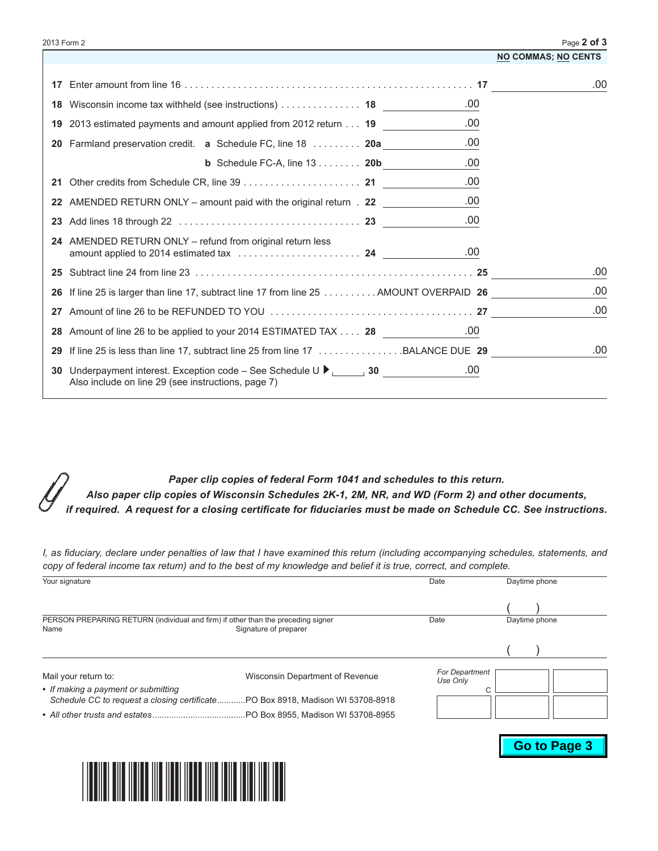| 2013 Form 2 |  |  |
|-------------|--|--|
|-------------|--|--|

| 2013 Form 2 |                                                                                                                                               | Page 2 of 3                |
|-------------|-----------------------------------------------------------------------------------------------------------------------------------------------|----------------------------|
|             |                                                                                                                                               | <b>NO COMMAS; NO CENTS</b> |
|             |                                                                                                                                               | .00                        |
|             | .00<br>18 Wisconsin income tax withheld (see instructions)  18                                                                                |                            |
|             | .00<br>19 2013 estimated payments and amount applied from 2012 return 19                                                                      |                            |
|             | .00<br>20 Farmland preservation credit. a Schedule FC, line 18  20a                                                                           |                            |
|             | .00<br><b>b</b> Schedule FC-A, line $13$ 20b                                                                                                  |                            |
|             | .00                                                                                                                                           |                            |
|             | .00<br>22 AMENDED RETURN ONLY – amount paid with the original return . 22                                                                     |                            |
|             | .00                                                                                                                                           |                            |
|             | 24 AMENDED RETURN ONLY – refund from original return less<br>.00                                                                              |                            |
|             |                                                                                                                                               | .00                        |
|             | 26 If line 25 is larger than line 17, subtract line 17 from line 25 AMOUNT OVERPAID 26                                                        | .00                        |
|             |                                                                                                                                               | .00                        |
|             | 28 Amount of line 26 to be applied to your 2014 ESTIMATED TAX 28                                                                              |                            |
|             | 29 If line 25 is less than line 17, subtract line 25 from line 17 BALANCE DUE 29                                                              | .00                        |
|             | 30 Underpayment interest. Exception code – See Schedule U ▶ ______ 30 __________<br>.00<br>Also include on line 29 (see instructions, page 7) |                            |
|             |                                                                                                                                               |                            |

*Paper clip copies of federal Form 1041 and schedules to this return. Also paper clip copies of Wisconsin Schedules 2K‑1, 2M, NR, and WD (Form 2) and other documents, if required. A request for a closing certificate for fiduciaries must be made on Schedule CC. See instructions.*

I, as fiduciary, declare under penalties of law that I have examined this return (including accompanying schedules, statements, and copy of federal income tax return) and to the best of my knowledge and belief it is true, correct, and complete.

| Your signature                                                                           |                                                                                | Date                                   | Daytime phone |  |
|------------------------------------------------------------------------------------------|--------------------------------------------------------------------------------|----------------------------------------|---------------|--|
| PERSON PREPARING RETURN (individual and firm) if other than the preceding signer<br>Name | Signature of preparer                                                          | Date                                   | Daytime phone |  |
|                                                                                          |                                                                                |                                        |               |  |
| Mail your return to:<br>• If making a payment or submitting                              | Wisconsin Department of Revenue                                                | <b>For Department</b><br>Use Only<br>⌒ |               |  |
|                                                                                          | Schedule CC to request a closing certificatePO Box 8918, Madison WI 53708-8918 |                                        |               |  |
|                                                                                          |                                                                                |                                        |               |  |



**Go to Page 3**